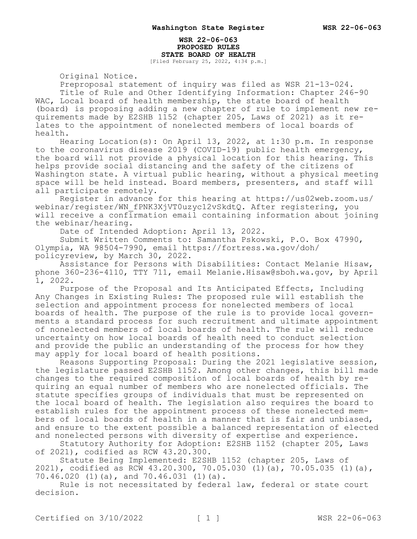#### **WSR 22-06-063 PROPOSED RULES STATE BOARD OF HEALTH** [Filed February 25, 2022, 4:34 p.m.]

Original Notice.

Preproposal statement of inquiry was filed as WSR 21-13-024. Title of Rule and Other Identifying Information: Chapter 246-90 WAC, Local board of health membership, the state board of health (board) is proposing adding a new chapter of rule to implement new requirements made by E2SHB 1152 (chapter 205, Laws of 2021) as it relates to the appointment of nonelected members of local boards of health.

Hearing Location(s): On April 13, 2022, at 1:30 p.m. In response to the coronavirus disease 2019 (COVID-19) public health emergency, the board will not provide a physical location for this hearing. This helps provide social distancing and the safety of the citizens of Washington state. A virtual public hearing, without a physical meeting space will be held instead. Board members, presenters, and staff will all participate remotely.

Register in advance for this hearing at https://us02web.zoom.us/ webinar/register/WN\_fPNK3XjVT0uzyc12vSkdtQ. After registering, you will receive a confirmation email containing information about joining the webinar/hearing.

Date of Intended Adoption: April 13, 2022.

Submit Written Comments to: Samantha Pskowski, P.O. Box 47990, Olympia, WA 98504-7990, email https://fortress.wa.gov/doh/ policyreview, by March 30, 2022.

Assistance for Persons with Disabilities: Contact Melanie Hisaw, phone 360-236-4110, TTY 711, email Melanie.Hisaw@sboh.wa.gov, by April 1, 2022.

Purpose of the Proposal and Its Anticipated Effects, Including Any Changes in Existing Rules: The proposed rule will establish the selection and appointment process for nonelected members of local boards of health. The purpose of the rule is to provide local governments a standard process for such recruitment and ultimate appointment of nonelected members of local boards of health. The rule will reduce uncertainty on how local boards of health need to conduct selection and provide the public an understanding of the process for how they may apply for local board of health positions.

Reasons Supporting Proposal: During the 2021 legislative session, the legislature passed E2SHB 1152. Among other changes, this bill made changes to the required composition of local boards of health by requiring an equal number of members who are nonelected officials. The statute specifies groups of individuals that must be represented on the local board of health. The legislation also requires the board to establish rules for the appointment process of these nonelected members of local boards of health in a manner that is fair and unbiased, and ensure to the extent possible a balanced representation of elected and nonelected persons with diversity of expertise and experience.

Statutory Authority for Adoption: E2SHB 1152 (chapter 205, Laws of 2021), codified as RCW 43.20.300.

Statute Being Implemented: E2SHB 1152 (chapter 205, Laws of 2021), codified as RCW 43.20.300, 70.05.030 (1)(a), 70.05.035 (1)(a), 70.46.020 (1)(a), and 70.46.031 (1)(a).

Rule is not necessitated by federal law, federal or state court decision.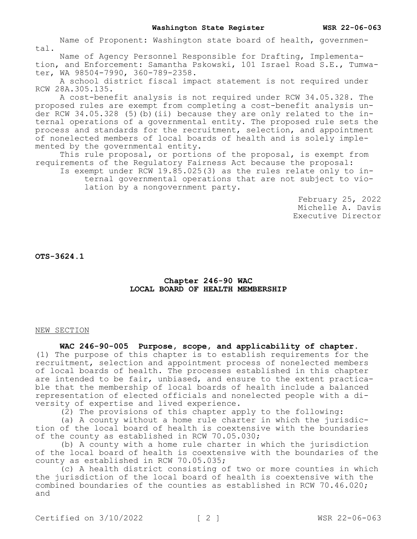Name of Proponent: Washington state board of health, governmental.

Name of Agency Personnel Responsible for Drafting, Implementation, and Enforcement: Samantha Pskowski, 101 Israel Road S.E., Tumwater, WA 98504-7990, 360-789-2358.

A school district fiscal impact statement is not required under RCW 28A.305.135.

A cost-benefit analysis is not required under RCW 34.05.328. The proposed rules are exempt from completing a cost-benefit analysis under RCW 34.05.328 (5)(b)(ii) because they are only related to the internal operations of a governmental entity. The proposed rule sets the process and standards for the recruitment, selection, and appointment of nonelected members of local boards of health and is solely implemented by the governmental entity.

This rule proposal, or portions of the proposal, is exempt from requirements of the Regulatory Fairness Act because the proposal:

Is exempt under RCW 19.85.025(3) as the rules relate only to internal governmental operations that are not subject to violation by a nongovernment party.

> February 25, 2022 Michelle A. Davis Executive Director

**OTS-3624.1**

## **Chapter 246-90 WAC LOCAL BOARD OF HEALTH MEMBERSHIP**

### NEW SECTION

## **WAC 246-90-005 Purpose, scope, and applicability of chapter.**

(1) The purpose of this chapter is to establish requirements for the recruitment, selection and appointment process of nonelected members of local boards of health. The processes established in this chapter are intended to be fair, unbiased, and ensure to the extent practicable that the membership of local boards of health include a balanced representation of elected officials and nonelected people with a diversity of expertise and lived experience.

(2) The provisions of this chapter apply to the following:

(a) A county without a home rule charter in which the jurisdiction of the local board of health is coextensive with the boundaries of the county as established in RCW 70.05.030;

(b) A county with a home rule charter in which the jurisdiction of the local board of health is coextensive with the boundaries of the county as established in RCW 70.05.035;

(c) A health district consisting of two or more counties in which the jurisdiction of the local board of health is coextensive with the combined boundaries of the counties as established in RCW 70.46.020; and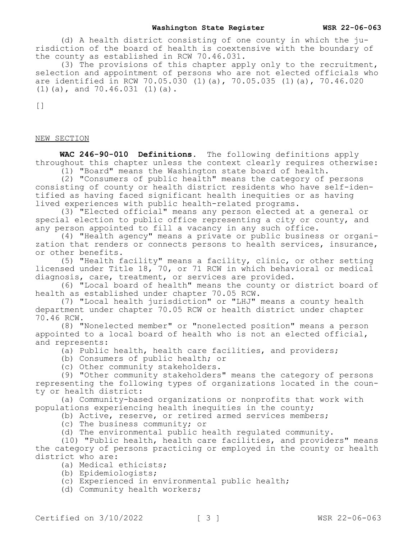(d) A health district consisting of one county in which the jurisdiction of the board of health is coextensive with the boundary of the county as established in RCW 70.46.031.

(3) The provisions of this chapter apply only to the recruitment, selection and appointment of persons who are not elected officials who are identified in RCW 70.05.030 (1)(a), 70.05.035 (1)(a), 70.46.020 (1)(a), and 70.46.031 (1)(a).

 $[$ 

### NEW SECTION

**WAC 246-90-010 Definitions.** The following definitions apply throughout this chapter unless the context clearly requires otherwise:

(1) "Board" means the Washington state board of health.

(2) "Consumers of public health" means the category of persons consisting of county or health district residents who have self-identified as having faced significant health inequities or as having lived experiences with public health-related programs.

(3) "Elected official" means any person elected at a general or special election to public office representing a city or county, and any person appointed to fill a vacancy in any such office.

(4) "Health agency" means a private or public business or organization that renders or connects persons to health services, insurance, or other benefits.

(5) "Health facility" means a facility, clinic, or other setting licensed under Title 18, 70, or 71 RCW in which behavioral or medical diagnosis, care, treatment, or services are provided.

(6) "Local board of health" means the county or district board of health as established under chapter 70.05 RCW.

(7) "Local health jurisdiction" or "LHJ" means a county health department under chapter 70.05 RCW or health district under chapter 70.46 RCW.

(8) "Nonelected member" or "nonelected position" means a person appointed to a local board of health who is not an elected official, and represents:

(a) Public health, health care facilities, and providers;

(b) Consumers of public health; or

(c) Other community stakeholders.

(9) "Other community stakeholders" means the category of persons representing the following types of organizations located in the county or health district:

(a) Community-based organizations or nonprofits that work with populations experiencing health inequities in the county;

(b) Active, reserve, or retired armed services members;

(c) The business community; or

(d) The environmental public health regulated community.

(10) "Public health, health care facilities, and providers" means the category of persons practicing or employed in the county or health district who are:

(a) Medical ethicists;

- (b) Epidemiologists;
- (c) Experienced in environmental public health;

(d) Community health workers;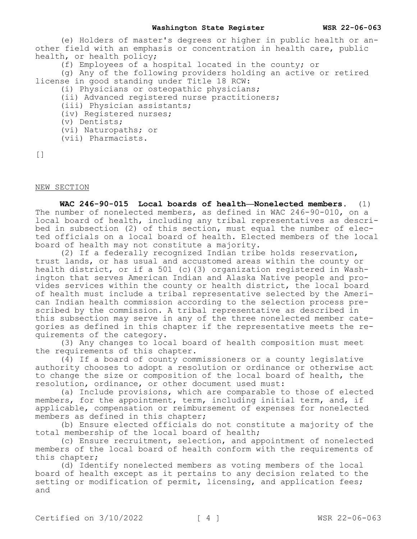(e) Holders of master's degrees or higher in public health or another field with an emphasis or concentration in health care, public health, or health policy;

(f) Employees of a hospital located in the county; or

(g) Any of the following providers holding an active or retired license in good standing under Title 18 RCW:

- (i) Physicians or osteopathic physicians;
- (ii) Advanced registered nurse practitioners;
- (iii) Physician assistants;
- (iv) Registered nurses;
- (v) Dentists;
- (vi) Naturopaths; or
- (vii) Pharmacists.

```
\lceil]
```
# NEW SECTION

**WAC 246-90-015 Local boards of health—Nonelected members.** (1) The number of nonelected members, as defined in WAC 246-90-010, on a local board of health, including any tribal representatives as described in subsection (2) of this section, must equal the number of elected officials on a local board of health. Elected members of the local board of health may not constitute a majority.

(2) If a federally recognized Indian tribe holds reservation, trust lands, or has usual and accustomed areas within the county or health district, or if a 501 (c)(3) organization registered in Washington that serves American Indian and Alaska Native people and provides services within the county or health district, the local board of health must include a tribal representative selected by the American Indian health commission according to the selection process prescribed by the commission. A tribal representative as described in this subsection may serve in any of the three nonelected member categories as defined in this chapter if the representative meets the requirements of the category.

(3) Any changes to local board of health composition must meet the requirements of this chapter.

(4) If a board of county commissioners or a county legislative authority chooses to adopt a resolution or ordinance or otherwise act to change the size or composition of the local board of health, the resolution, ordinance, or other document used must:

(a) Include provisions, which are comparable to those of elected members, for the appointment, term, including initial term, and, if applicable, compensation or reimbursement of expenses for nonelected members as defined in this chapter;

(b) Ensure elected officials do not constitute a majority of the total membership of the local board of health;

(c) Ensure recruitment, selection, and appointment of nonelected members of the local board of health conform with the requirements of this chapter;

(d) Identify nonelected members as voting members of the local board of health except as it pertains to any decision related to the setting or modification of permit, licensing, and application fees; and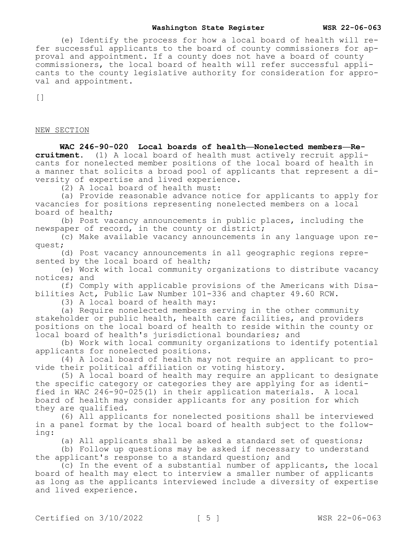#### **Washington State Register WSR 22-06-063**

(e) Identify the process for how a local board of health will refer successful applicants to the board of county commissioners for approval and appointment. If a county does not have a board of county commissioners, the local board of health will refer successful applicants to the county legislative authority for consideration for approval and appointment.

 $[$ 

#### NEW SECTION

**WAC 246-90-020 Local boards of health—Nonelected members—Recruitment.** (1) A local board of health must actively recruit applicants for nonelected member positions of the local board of health in a manner that solicits a broad pool of applicants that represent a diversity of expertise and lived experience.

(2) A local board of health must:

(a) Provide reasonable advance notice for applicants to apply for vacancies for positions representing nonelected members on a local board of health;

(b) Post vacancy announcements in public places, including the newspaper of record, in the county or district;

(c) Make available vacancy announcements in any language upon request;

(d) Post vacancy announcements in all geographic regions represented by the local board of health;

(e) Work with local community organizations to distribute vacancy notices; and

(f) Comply with applicable provisions of the Americans with Disabilities Act, Public Law Number 101-336 and chapter 49.60 RCW.

(3) A local board of health may:

(a) Require nonelected members serving in the other community stakeholder or public health, health care facilities, and providers positions on the local board of health to reside within the county or local board of health's jurisdictional boundaries; and

(b) Work with local community organizations to identify potential applicants for nonelected positions.

(4) A local board of health may not require an applicant to provide their political affiliation or voting history.

(5) A local board of health may require an applicant to designate the specific category or categories they are applying for as identified in WAC 246-90-025(1) in their application materials. A local board of health may consider applicants for any position for which they are qualified.

(6) All applicants for nonelected positions shall be interviewed in a panel format by the local board of health subject to the following:

(a) All applicants shall be asked a standard set of questions;

(b) Follow up questions may be asked if necessary to understand the applicant's response to a standard question; and

(c) In the event of a substantial number of applicants, the local board of health may elect to interview a smaller number of applicants as long as the applicants interviewed include a diversity of expertise and lived experience.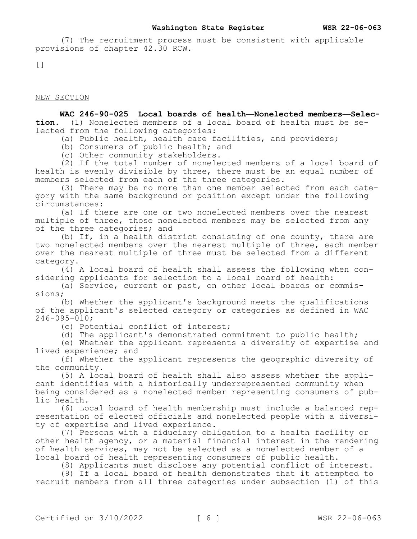(7) The recruitment process must be consistent with applicable provisions of chapter 42.30 RCW.

 $[$ 

NEW SECTION

**WAC 246-90-025 Local boards of health—Nonelected members—Selection.** (1) Nonelected members of a local board of health must be selected from the following categories:

(a) Public health, health care facilities, and providers;

(b) Consumers of public health; and

(c) Other community stakeholders.

(2) If the total number of nonelected members of a local board of health is evenly divisible by three, there must be an equal number of members selected from each of the three categories.

(3) There may be no more than one member selected from each category with the same background or position except under the following circumstances:

(a) If there are one or two nonelected members over the nearest multiple of three, those nonelected members may be selected from any of the three categories; and

(b) If, in a health district consisting of one county, there are two nonelected members over the nearest multiple of three, each member over the nearest multiple of three must be selected from a different category.

(4) A local board of health shall assess the following when considering applicants for selection to a local board of health:

(a) Service, current or past, on other local boards or commissions;

(b) Whether the applicant's background meets the qualifications of the applicant's selected category or categories as defined in WAC 246-095-010;

(c) Potential conflict of interest;

(d) The applicant's demonstrated commitment to public health;

(e) Whether the applicant represents a diversity of expertise and lived experience; and

(f) Whether the applicant represents the geographic diversity of the community.

(5) A local board of health shall also assess whether the applicant identifies with a historically underrepresented community when being considered as a nonelected member representing consumers of public health.

(6) Local board of health membership must include a balanced representation of elected officials and nonelected people with a diversity of expertise and lived experience.

(7) Persons with a fiduciary obligation to a health facility or other health agency, or a material financial interest in the rendering of health services, may not be selected as a nonelected member of a local board of health representing consumers of public health.

(8) Applicants must disclose any potential conflict of interest.

(9) If a local board of health demonstrates that it attempted to recruit members from all three categories under subsection (1) of this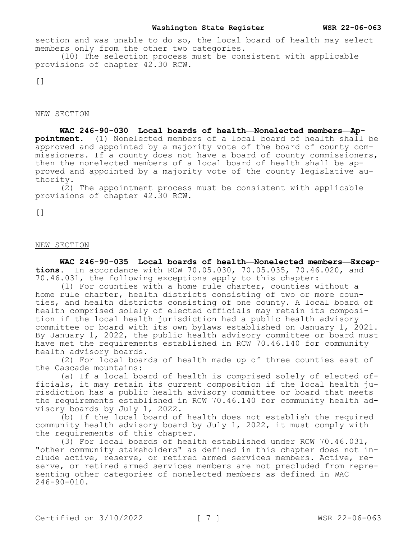section and was unable to do so, the local board of health may select members only from the other two categories.

(10) The selection process must be consistent with applicable provisions of chapter 42.30 RCW.

 $\lceil$ ]

NEW SECTION

**WAC 246-90-030 Local boards of health—Nonelected members—Appointment.** (1) Nonelected members of a local board of health shall be approved and appointed by a majority vote of the board of county commissioners. If a county does not have a board of county commissioners, then the nonelected members of a local board of health shall be approved and appointed by a majority vote of the county legislative authority.

(2) The appointment process must be consistent with applicable provisions of chapter 42.30 RCW.

[]

## NEW SECTION

**WAC 246-90-035 Local boards of health—Nonelected members—Exceptions.** In accordance with RCW 70.05.030, 70.05.035, 70.46.020, and 70.46.031, the following exceptions apply to this chapter:

(1) For counties with a home rule charter, counties without a home rule charter, health districts consisting of two or more counties, and health districts consisting of one county. A local board of health comprised solely of elected officials may retain its composition if the local health jurisdiction had a public health advisory committee or board with its own bylaws established on January 1, 2021. By January 1, 2022, the public health advisory committee or board must have met the requirements established in RCW 70.46.140 for community health advisory boards.

(2) For local boards of health made up of three counties east of the Cascade mountains:

(a) If a local board of health is comprised solely of elected officials, it may retain its current composition if the local health jurisdiction has a public health advisory committee or board that meets the requirements established in RCW 70.46.140 for community health advisory boards by July 1, 2022.

(b) If the local board of health does not establish the required community health advisory board by July 1, 2022, it must comply with the requirements of this chapter.

(3) For local boards of health established under RCW 70.46.031, "other community stakeholders" as defined in this chapter does not include active, reserve, or retired armed services members. Active, reserve, or retired armed services members are not precluded from representing other categories of nonelected members as defined in WAC 246-90-010.